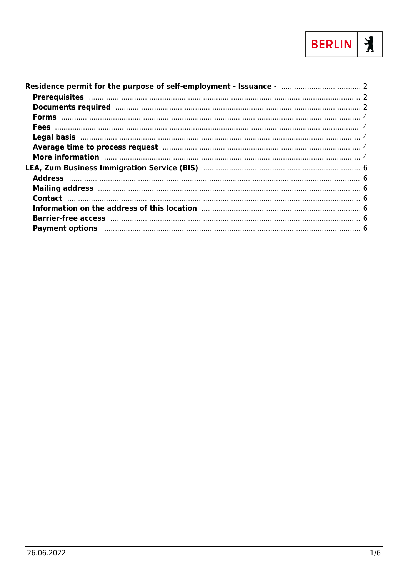

| Average time to process request manufacture and a surface and the process request manufacture and a set of the                                                                                                                 |  |
|--------------------------------------------------------------------------------------------------------------------------------------------------------------------------------------------------------------------------------|--|
| More information manufactured and the contract of the contract of the contract of the contract of the contract of the contract of the contract of the contract of the contract of the contract of the contract of the contract |  |
|                                                                                                                                                                                                                                |  |
|                                                                                                                                                                                                                                |  |
|                                                                                                                                                                                                                                |  |
|                                                                                                                                                                                                                                |  |
|                                                                                                                                                                                                                                |  |
|                                                                                                                                                                                                                                |  |
|                                                                                                                                                                                                                                |  |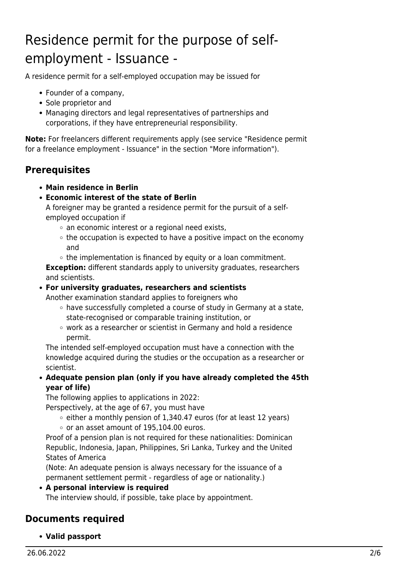# <span id="page-1-0"></span>Residence permit for the purpose of selfemployment - Issuance -

A residence permit for a self-employed occupation may be issued for

- Founder of a company,
- Sole proprietor and
- Managing directors and legal representatives of partnerships and corporations, if they have entrepreneurial responsibility.

**Note:** For freelancers different requirements apply (see service "Residence permit for a freelance employment - Issuance" in the section "More information").

### <span id="page-1-1"></span>**Prerequisites**

- **Main residence in Berlin**
- **Economic interest of the state of Berlin**

A foreigner may be granted a residence permit for the pursuit of a selfemployed occupation if

- $\circ$  an economic interest or a regional need exists,
- $\circ$  the occupation is expected to have a positive impact on the economy and
- $\circ$  the implementation is financed by equity or a loan commitment. **Exception:** different standards apply to university graduates, researchers and scientists.
- **For university graduates, researchers and scientists**

Another examination standard applies to foreigners who

- $\circ$  have successfully completed a course of study in Germany at a state, state-recognised or comparable training institution, or
- work as a researcher or scientist in Germany and hold a residence permit.

The intended self-employed occupation must have a connection with the knowledge acquired during the studies or the occupation as a researcher or scientist.

**Adequate pension plan (only if you have already completed the 45th year of life)**

The following applies to applications in 2022:

Perspectively, at the age of 67, you must have

- $\circ$  either a monthly pension of 1,340.47 euros (for at least 12 years)
- $\circ$  or an asset amount of 195,104.00 euros.

Proof of a pension plan is not required for these nationalities: Dominican Republic, Indonesia, Japan, Philippines, Sri Lanka, Turkey and the United States of America

(Note: An adequate pension is always necessary for the issuance of a permanent settlement permit - regardless of age or nationality.)

**A personal interview is required**

The interview should, if possible, take place by appointment.

### <span id="page-1-2"></span>**Documents required**

**Valid passport**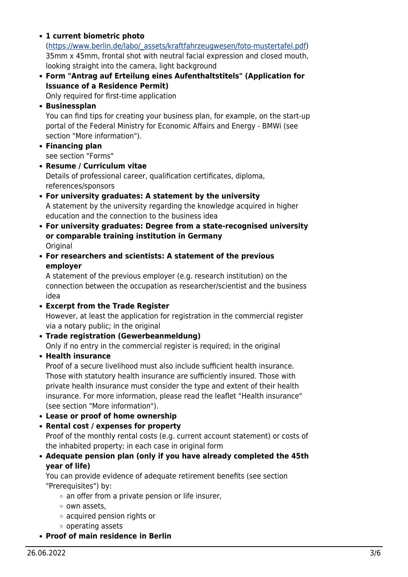**1 current biometric photo**

([https://www.berlin.de/labo/\\_assets/kraftfahrzeugwesen/foto-mustertafel.pdf\)](https://www.berlin.de/labo/_assets/kraftfahrzeugwesen/foto-mustertafel.pdf) 35mm x 45mm, frontal shot with neutral facial expression and closed mouth, looking straight into the camera, light background

**Form "Antrag auf Erteilung eines Aufenthaltstitels" (Application for Issuance of a Residence Permit)**

Only required for first-time application

**Businessplan**

You can find tips for creating your business plan, for example, on the start-up portal of the Federal Ministry for Economic Affairs and Energy - BMWi (see section "More information").

- **Financing plan** see section "Forms"
- **Resume / Curriculum vitae** Details of professional career, qualification certificates, diploma, references/sponsors
- **For university graduates: A statement by the university** A statement by the university regarding the knowledge acquired in higher education and the connection to the business idea
- **For university graduates: Degree from a state-recognised university or comparable training institution in Germany Original**
- **For researchers and scientists: A statement of the previous employer**

A statement of the previous employer (e.g. research institution) on the connection between the occupation as researcher/scientist and the business idea

**Excerpt from the Trade Register**

However, at least the application for registration in the commercial register via a notary public; in the original

**Trade registration (Gewerbeanmeldung)**

Only if no entry in the commercial register is required; in the original

**Health insurance**

Proof of a secure livelihood must also include sufficient health insurance. Those with statutory health insurance are sufficiently insured. Those with private health insurance must consider the type and extent of their health insurance. For more information, please read the leaflet "Health insurance" (see section "More information").

- **Lease or proof of home ownership**
- **Rental cost / expenses for property**

Proof of the monthly rental costs (e.g. current account statement) or costs of the inhabited property; in each case in original form

**Adequate pension plan (only if you have already completed the 45th year of life)**

You can provide evidence of adequate retirement benefits (see section "Prerequisites") by:

- $\circ$  an offer from a private pension or life insurer,
- o own assets.
- acquired pension rights or
- operating assets
- **Proof of main residence in Berlin**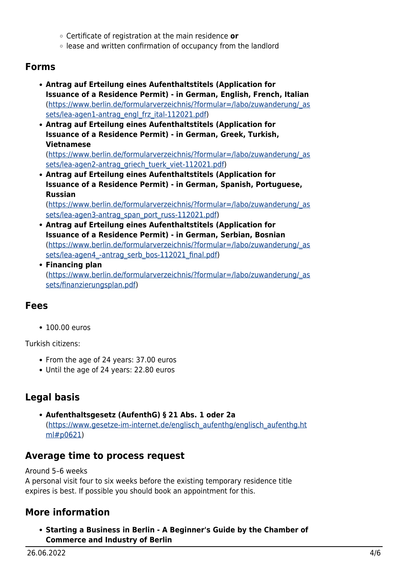- Certificate of registration at the main residence **or**
- lease and written confirmation of occupancy from the landlord

### <span id="page-3-0"></span>**Forms**

- **Antrag auf Erteilung eines Aufenthaltstitels (Application for Issuance of a Residence Permit) - in German, English, French, Italian** ([https://www.berlin.de/formularverzeichnis/?formular=/labo/zuwanderung/\\_as](https://www.berlin.de/formularverzeichnis/?formular=/labo/zuwanderung/_assets/lea-agen1-antrag_engl_frz_ital-112021.pdf) [sets/lea-agen1-antrag\\_engl\\_frz\\_ital-112021.pdf](https://www.berlin.de/formularverzeichnis/?formular=/labo/zuwanderung/_assets/lea-agen1-antrag_engl_frz_ital-112021.pdf))
- **Antrag auf Erteilung eines Aufenthaltstitels (Application for Issuance of a Residence Permit) - in German, Greek, Turkish, Vietnamese**

([https://www.berlin.de/formularverzeichnis/?formular=/labo/zuwanderung/\\_as](https://www.berlin.de/formularverzeichnis/?formular=/labo/zuwanderung/_assets/lea-agen2-antrag_griech_tuerk_viet-112021.pdf) [sets/lea-agen2-antrag\\_griech\\_tuerk\\_viet-112021.pdf](https://www.berlin.de/formularverzeichnis/?formular=/labo/zuwanderung/_assets/lea-agen2-antrag_griech_tuerk_viet-112021.pdf))

**Antrag auf Erteilung eines Aufenthaltstitels (Application for Issuance of a Residence Permit) - in German, Spanish, Portuguese, Russian**

([https://www.berlin.de/formularverzeichnis/?formular=/labo/zuwanderung/\\_as](https://www.berlin.de/formularverzeichnis/?formular=/labo/zuwanderung/_assets/lea-agen3-antrag_span_port_russ-112021.pdf) [sets/lea-agen3-antrag\\_span\\_port\\_russ-112021.pdf](https://www.berlin.de/formularverzeichnis/?formular=/labo/zuwanderung/_assets/lea-agen3-antrag_span_port_russ-112021.pdf))

- **Antrag auf Erteilung eines Aufenthaltstitels (Application for Issuance of a Residence Permit) - in German, Serbian, Bosnian** ([https://www.berlin.de/formularverzeichnis/?formular=/labo/zuwanderung/\\_as](https://www.berlin.de/formularverzeichnis/?formular=/labo/zuwanderung/_assets/lea-agen4_-antrag_serb_bos-112021_final.pdf) sets/lea-agen4 -antrag\_serb\_bos-112021\_final.pdf)
- **Financing plan** ([https://www.berlin.de/formularverzeichnis/?formular=/labo/zuwanderung/\\_as](https://www.berlin.de/formularverzeichnis/?formular=/labo/zuwanderung/_assets/finanzierungsplan.pdf) [sets/finanzierungsplan.pdf\)](https://www.berlin.de/formularverzeichnis/?formular=/labo/zuwanderung/_assets/finanzierungsplan.pdf)

### <span id="page-3-1"></span>**Fees**

• 100.00 euros

Turkish citizens:

- From the age of 24 years: 37.00 euros
- Until the age of 24 years: 22.80 euros

### <span id="page-3-2"></span>**Legal basis**

**Aufenthaltsgesetz (AufenthG) § 21 Abs. 1 oder 2a** ([https://www.gesetze-im-internet.de/englisch\\_aufenthg/englisch\\_aufenthg.ht](https://www.gesetze-im-internet.de/englisch_aufenthg/englisch_aufenthg.html#p0621) [ml#p0621\)](https://www.gesetze-im-internet.de/englisch_aufenthg/englisch_aufenthg.html#p0621)

### <span id="page-3-3"></span>**Average time to process request**

Around 5–6 weeks A personal visit four to six weeks before the existing temporary residence title expires is best. If possible you should book an appointment for this.

# <span id="page-3-4"></span>**More information**

**Starting a Business in Berlin - A Beginner's Guide by the Chamber of Commerce and Industry of Berlin**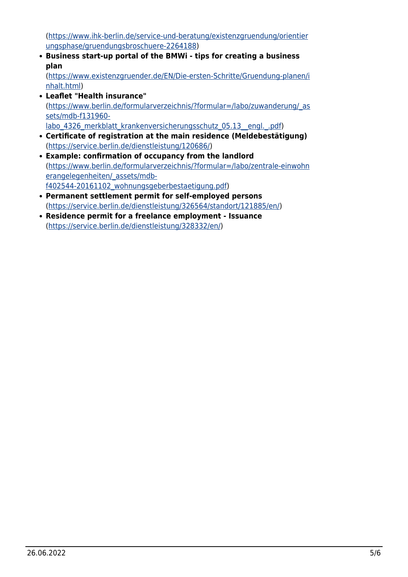([https://www.ihk-berlin.de/service-und-beratung/existenzgruendung/orientier](https://www.ihk-berlin.de/service-und-beratung/existenzgruendung/orientierungsphase/gruendungsbroschuere-2264188) [ungsphase/gruendungsbroschuere-2264188\)](https://www.ihk-berlin.de/service-und-beratung/existenzgruendung/orientierungsphase/gruendungsbroschuere-2264188)

**Business start-up portal of the BMWi - tips for creating a business plan**

([https://www.existenzgruender.de/EN/Die-ersten-Schritte/Gruendung-planen/i](https://www.existenzgruender.de/EN/Die-ersten-Schritte/Gruendung-planen/inhalt.html) [nhalt.html\)](https://www.existenzgruender.de/EN/Die-ersten-Schritte/Gruendung-planen/inhalt.html)

- **Leaflet "Health insurance"** ([https://www.berlin.de/formularverzeichnis/?formular=/labo/zuwanderung/\\_as](https://www.berlin.de/formularverzeichnis/?formular=/labo/zuwanderung/_assets/mdb-f131960-labo_4326_merkblatt_krankenversicherungsschutz_05.13__engl._.pdf) [sets/mdb-f131960](https://www.berlin.de/formularverzeichnis/?formular=/labo/zuwanderung/_assets/mdb-f131960-labo_4326_merkblatt_krankenversicherungsschutz_05.13__engl._.pdf) labo 4326 merkblatt krankenversicherungsschutz 05.13\_engl. .pdf)
- **Certificate of registration at the main residence (Meldebestätigung)** (<https://service.berlin.de/dienstleistung/120686/>)
- **Example: confirmation of occupancy from the landlord** ([https://www.berlin.de/formularverzeichnis/?formular=/labo/zentrale-einwohn](https://www.berlin.de/formularverzeichnis/?formular=/labo/zentrale-einwohnerangelegenheiten/_assets/mdb-f402544-20161102_wohnungsgeberbestaetigung.pdf) [erangelegenheiten/\\_assets/mdb](https://www.berlin.de/formularverzeichnis/?formular=/labo/zentrale-einwohnerangelegenheiten/_assets/mdb-f402544-20161102_wohnungsgeberbestaetigung.pdf)[f402544-20161102\\_wohnungsgeberbestaetigung.pdf\)](https://www.berlin.de/formularverzeichnis/?formular=/labo/zentrale-einwohnerangelegenheiten/_assets/mdb-f402544-20161102_wohnungsgeberbestaetigung.pdf)
- **Permanent settlement permit for self-employed persons** ([https://service.berlin.de/dienstleistung/326564/standort/121885/en/\)](https://service.berlin.de/dienstleistung/326564/standort/121885/en/)
- **Residence permit for a freelance employment Issuance** ([https://service.berlin.de/dienstleistung/328332/en/\)](https://service.berlin.de/dienstleistung/328332/en/)